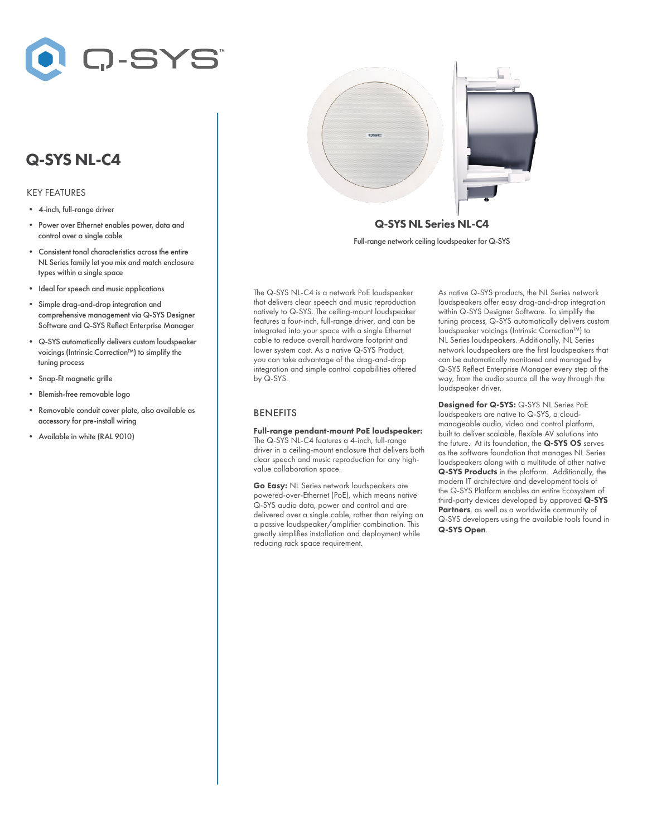

# Q-SYS NL-C4

#### KEY FEATURES

- 4-inch, full-range driver
- Power over Ethernet enables power, data and control over a single cable
- Consistent tonal characteristics across the entire NL Series family let you mix and match enclosure types within a single space
- Ideal for speech and music applications
- Simple drag-and-drop integration and comprehensive management via Q-SYS Designer Software and Q-SYS Reflect Enterprise Manager
- Q-SYS automatically delivers custom loudspeaker voicings (Intrinsic Correction™) to simplify the tuning process
- Snap-fit magnetic grille
- Blemish-free removable logo
- Removable conduit cover plate, also available as accessory for pre-install wiring
- Available in white (RAL 9010)



Full-range network ceiling loudspeaker for Q-SYS

The Q-SYS NL-C4 is a network PoE loudspeaker that delivers clear speech and music reproduction natively to Q-SYS. The ceiling-mount loudspeaker features a four-inch, full-range driver, and can be integrated into your space with a single Ethernet cable to reduce overall hardware footprint and lower system cost. As a native Q-SYS Product, you can take advantage of the drag-and-drop integration and simple control capabilities offered by Q-SYS.

#### BENEFITS

Full-range pendant-mount PoE loudspeaker: The Q-SYS NL-C4 features a 4-inch, full-range driver in a ceiling-mount enclosure that delivers both clear speech and music reproduction for any highvalue collaboration space.

Go Easy: NL Series network loudspeakers are powered-over-Ethernet (PoE), which means native Q-SYS audio data, power and control and are delivered over a single cable, rather than relying on a passive loudspeaker/amplifier combination. This greatly simplifies installation and deployment while reducing rack space requirement.

As native Q-SYS products, the NL Series network loudspeakers offer easy drag-and-drop integration within Q-SYS Designer Software. To simplify the tuning process, Q-SYS automatically delivers custom loudspeaker voicings (Intrinsic Correction™) to NL Series loudspeakers. Additionally, NL Series network loudspeakers are the first loudspeakers that can be automatically monitored and managed by Q-SYS Reflect Enterprise Manager every step of the way, from the audio source all the way through the loudspeaker driver.

Designed for Q-SYS: Q-SYS NL Series PoE loudspeakers are native to Q-SYS, a cloudmanageable audio, video and control platform, built to deliver scalable, flexible AV solutions into the future. At its foundation, the Q-SYS OS serves as the software foundation that manages NL Series loudspeakers along with a multitude of other native Q-SYS Products in the platform. Additionally, the modern IT architecture and development tools of the Q-SYS Platform enables an entire Ecosystem of third-party devices developed by approved Q-SYS Partners, as well as a worldwide community of Q-SYS developers using the available tools found in Q-SYS Open.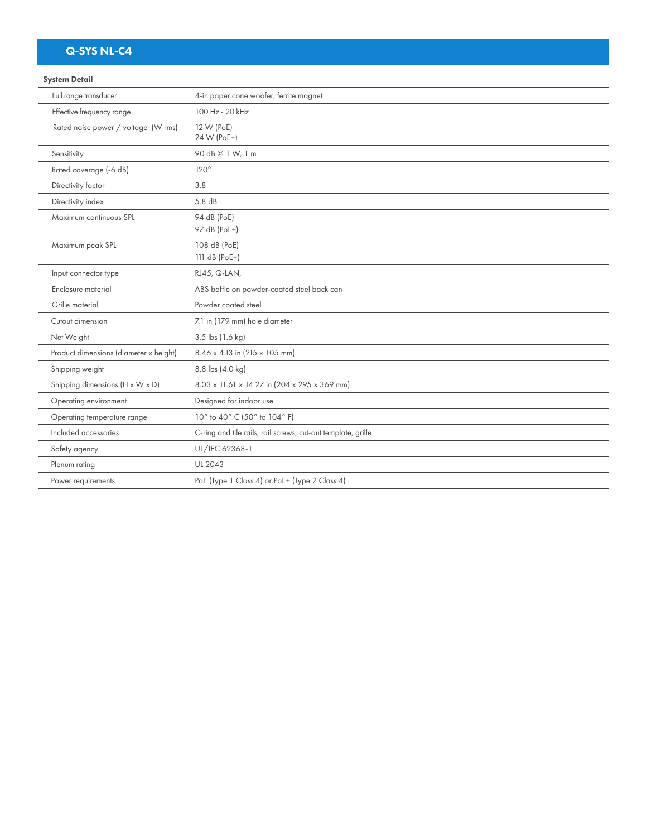# Q-SYS NL-C4

### System Detail

| Full range transducer                  | 4-in paper cone woofer, ferrite magnet                       |
|----------------------------------------|--------------------------------------------------------------|
| Effective frequency range              | 100 Hz - 20 kHz                                              |
| Rated noise power / voltage (W rms)    | 12 W (PoE)<br>24 W (PoE+)                                    |
| Sensitivity                            | 90 dB@ 1 W, 1 m                                              |
| Rated coverage (-6 dB)                 | $120^\circ$                                                  |
| Directivity factor                     | 3.8                                                          |
| Directivity index                      | 5.8 dB                                                       |
| Maximum continuous SPL                 | 94 dB (PoE)<br>97 dB (PoE+)                                  |
| Maximum peak SPL                       | 108 dB (PoE)<br>111 dB (PoE+)                                |
| Input connector type                   | RJ45, Q-LAN,                                                 |
| Enclosure material                     | ABS baffle on powder-coated steel back can                   |
| Grille material                        | Powder coated steel                                          |
| Cutout dimension                       | 7.1 in (179 mm) hole diameter                                |
| Net Weight                             | 3.5 lbs (1.6 kg)                                             |
| Product dimensions (diameter x height) | $8.46 \times 4.13$ in (215 $\times$ 105 mm)                  |
| Shipping weight                        | 8.8 lbs (4.0 kg)                                             |
| Shipping dimensions (H x W x D)        | 8.03 x 11.61 x 14.27 in (204 x 295 x 369 mm)                 |
| Operating environment                  | Designed for indoor use                                      |
| Operating temperature range            | 10° to 40° C (50° to 104° F)                                 |
| Included accessories                   | C-ring and tile rails, rail screws, cut-out template, grille |
| Safety agency                          | UL/IEC 62368-1                                               |
| Plenum rating                          | <b>UL 2043</b>                                               |
| Power requirements                     | PoE (Type 1 Class 4) or PoE+ (Type 2 Class 4)                |